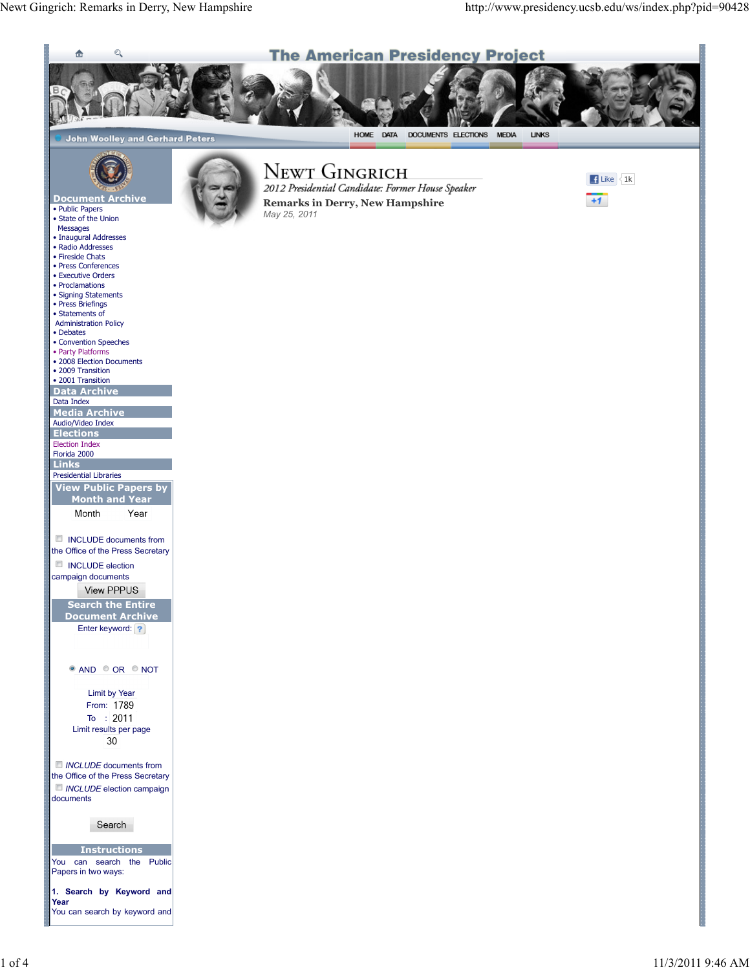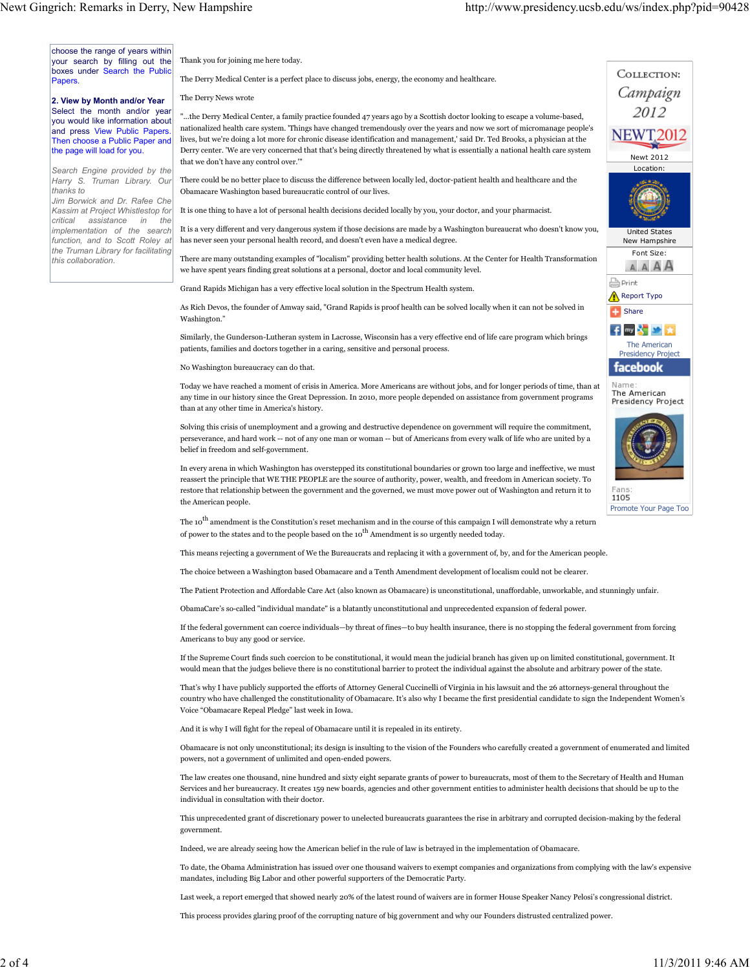choose the range of years within your search by filling out the boxes under Search the Public **Papers** 

2. View by Month and/or Year Select the month and/or year you would like information about and press View Public Papers. Then choose a Public Paper and the page will load for you.

Search Engine provided by the Harry S. Truman Library. Our thanks to

Jim Borwick and Dr. Rafee Che Kassim at Project Whistlestop for critical assistance in the implementation of the search function, and to Scott Roley at the Truman Library for facilitating this collaboration.

Thank you for joining me here today.

The Derry Medical Center is a perfect place to discuss jobs, energy, the economy and healthcare.

The Derry News wrote

"...the Derry Medical Center, a family practice founded 47 years ago by a Scottish doctor looking to escape a volume-based, nationalized health care system. 'Things have changed tremendously over the years and now we sort of micromanage people's lives, but we're doing a lot more for chronic disease identification and management,' said Dr. Ted Brooks, a physician at the Derry center. 'We are very concerned that that's being directly threatened by what is essentially a national health care system that we don't have any control over.'"

There could be no better place to discuss the difference between locally led, doctor-patient health and healthcare and the Obamacare Washington based bureaucratic control of our lives.

It is one thing to have a lot of personal health decisions decided locally by you, your doctor, and your pharmacist.

It is a very different and very dangerous system if those decisions are made by a Washington bureaucrat who doesn't know you, has never seen your personal health record, and doesn't even have a medical degree.

There are many outstanding examples of "localism" providing better health solutions. At the Center for Health Transformation we have spent years finding great solutions at a personal, doctor and local community level.

Grand Rapids Michigan has a very effective local solution in the Spectrum Health system.

As Rich Devos, the founder of Amway said, "Grand Rapids is proof health can be solved locally when it can not be solved in Washington."

Similarly, the Gunderson-Lutheran system in Lacrosse, Wisconsin has a very effective end of life care program which brings patients, families and doctors together in a caring, sensitive and personal process.

No Washington bureaucracy can do that.

Today we have reached a moment of crisis in America. More Americans are without jobs, and for longer periods of time, than at any time in our history since the Great Depression. In 2010, more people depended on assistance from government programs than at any other time in America's history.

Solving this crisis of unemployment and a growing and destructive dependence on government will require the commitment, perseverance, and hard work -- not of any one man or woman -- but of Americans from every walk of life who are united by a belief in freedom and self-government.

In every arena in which Washington has overstepped its constitutional boundaries or grown too large and ineffective, we must reassert the principle that WE THE PEOPLE are the source of authority, power, wealth, and freedom in American society. To restore that relationship between the government and the governed, we must move power out of Washington and return it to the American people.

The 10<sup>th</sup> amendment is the Constitution's reset mechanism and in the course of this campaign I will demonstrate why a return of power to the states and to the people based on the  $10^{th}$  Amendment is so urgently needed today.

This means rejecting a government of We the Bureaucrats and replacing it with a government of, by, and for the American people.

The choice between a Washington based Obamacare and a Tenth Amendment development of localism could not be clearer.

The Patient Protection and Affordable Care Act (also known as Obamacare) is unconstitutional, unaffordable, unworkable, and stunningly unfair.

ObamaCare's so-called "individual mandate" is a blatantly unconstitutional and unprecedented expansion of federal power.

If the federal government can coerce individuals—by threat of fines—to buy health insurance, there is no stopping the federal government from forcing Americans to buy any good or service.

If the Supreme Court finds such coercion to be constitutional, it would mean the judicial branch has given up on limited constitutional, government. It would mean that the judges believe there is no constitutional barrier to protect the individual against the absolute and arbitrary power of the state.

That's why I have publicly supported the efforts of Attorney General Cuccinelli of Virginia in his lawsuit and the 26 attorneys-general throughout the country who have challenged the constitutionality of Obamacare. It's also why I became the first presidential candidate to sign the Independent Women's Voice "Obamacare Repeal Pledge" last week in Iowa.

And it is why I will fight for the repeal of Obamacare until it is repealed in its entirety.

Obamacare is not only unconstitutional; its design is insulting to the vision of the Founders who carefully created a government of enumerated and limited powers, not a government of unlimited and open-ended powers.

The law creates one thousand, nine hundred and sixty eight separate grants of power to bureaucrats, most of them to the Secretary of Health and Human Services and her bureaucracy. It creates 159 new boards, agencies and other government entities to administer health decisions that should be up to the individual in consultation with their doctor.

This unprecedented grant of discretionary power to unelected bureaucrats guarantees the rise in arbitrary and corrupted decision-making by the federal government.

Indeed, we are already seeing how the American belief in the rule of law is betrayed in the implementation of Obamacare.

To date, the Obama Administration has issued over one thousand waivers to exempt companies and organizations from complying with the law's expensive mandates, including Big Labor and other powerful supporters of the Democratic Party.

Last week, a report emerged that showed nearly 20% of the latest round of waivers are in former House Speaker Nancy Pelosi's congressional district.

This process provides glaring proof of the corrupting nature of big government and why our Founders distrusted centralized power.



Promote Your Page Too

Newt 2012 Location:

COLLECTION: Campaign 2012 **NEWT2012**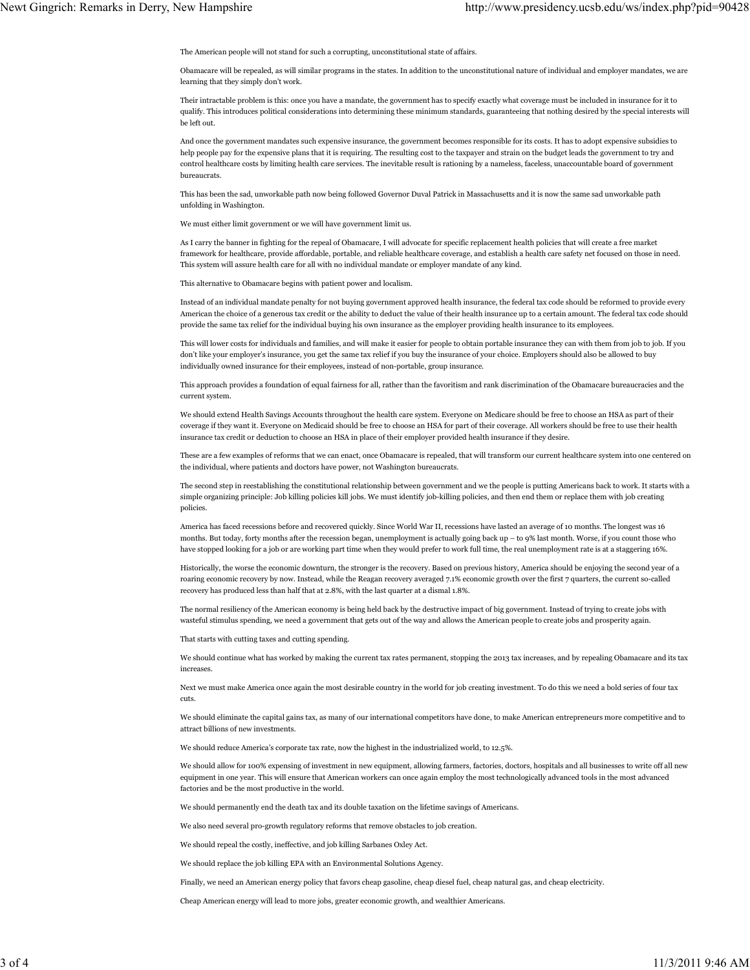The American people will not stand for such a corrupting, unconstitutional state of affairs.

Obamacare will be repealed, as will similar programs in the states. In addition to the unconstitutional nature of individual and employer mandates, we are learning that they simply don't work.

Their intractable problem is this: once you have a mandate, the government has to specify exactly what coverage must be included in insurance for it to qualify. This introduces political considerations into determining these minimum standards, guaranteeing that nothing desired by the special interests will be left out.

And once the government mandates such expensive insurance, the government becomes responsible for its costs. It has to adopt expensive subsidies to help people pay for the expensive plans that it is requiring. The resulting cost to the taxpayer and strain on the budget leads the government to try and control healthcare costs by limiting health care services. The inevitable result is rationing by a nameless, faceless, unaccountable board of government bureaucrats.

This has been the sad, unworkable path now being followed Governor Duval Patrick in Massachusetts and it is now the same sad unworkable path unfolding in Washington.

We must either limit government or we will have government limit us.

As I carry the banner in fighting for the repeal of Obamacare, I will advocate for specific replacement health policies that will create a free market framework for healthcare, provide affordable, portable, and reliable healthcare coverage, and establish a health care safety net focused on those in need. This system will assure health care for all with no individual mandate or employer mandate of any kind.

This alternative to Obamacare begins with patient power and localism.

Instead of an individual mandate penalty for not buying government approved health insurance, the federal tax code should be reformed to provide every American the choice of a generous tax credit or the ability to deduct the value of their health insurance up to a certain amount. The federal tax code should provide the same tax relief for the individual buying his own insurance as the employer providing health insurance to its employees.

This will lower costs for individuals and families, and will make it easier for people to obtain portable insurance they can with them from job to job. If you don't like your employer's insurance, you get the same tax relief if you buy the insurance of your choice. Employers should also be allowed to buy individually owned insurance for their employees, instead of non-portable, group insurance.

This approach provides a foundation of equal fairness for all, rather than the favoritism and rank discrimination of the Obamacare bureaucracies and the current system.

We should extend Health Savings Accounts throughout the health care system. Everyone on Medicare should be free to choose an HSA as part of their coverage if they want it. Everyone on Medicaid should be free to choose an HSA for part of their coverage. All workers should be free to use their health insurance tax credit or deduction to choose an HSA in place of their employer provided health insurance if they desire.

These are a few examples of reforms that we can enact, once Obamacare is repealed, that will transform our current healthcare system into one centered on the individual, where patients and doctors have power, not Washington bureaucrats.

The second step in reestablishing the constitutional relationship between government and we the people is putting Americans back to work. It starts with a simple organizing principle: Job killing policies kill jobs. We must identify job-killing policies, and then end them or replace them with job creating policies.

America has faced recessions before and recovered quickly. Since World War II, recessions have lasted an average of 10 months. The longest was 16 months. But today, forty months after the recession began, unemployment is actually going back up – to 9% last month. Worse, if you count those who have stopped looking for a job or are working part time when they would prefer to work full time, the real unemployment rate is at a staggering 16%.

Historically, the worse the economic downturn, the stronger is the recovery. Based on previous history, America should be enjoying the second year of a roaring economic recovery by now. Instead, while the Reagan recovery averaged 7.1% economic growth over the first 7 quarters, the current so-called recovery has produced less than half that at 2.8%, with the last quarter at a dismal 1.8%.

The normal resiliency of the American economy is being held back by the destructive impact of big government. Instead of trying to create jobs with wasteful stimulus spending, we need a government that gets out of the way and allows the American people to create jobs and prosperity again.

That starts with cutting taxes and cutting spending.

We should continue what has worked by making the current tax rates permanent, stopping the 2013 tax increases, and by repealing Obamacare and its tax increases.

Next we must make America once again the most desirable country in the world for job creating investment. To do this we need a bold series of four tax cuts.

We should eliminate the capital gains tax, as many of our international competitors have done, to make American entrepreneurs more competitive and to attract billions of new investments.

We should reduce America's corporate tax rate, now the highest in the industrialized world, to 12.5%.

We should allow for 100% expensing of investment in new equipment, allowing farmers, factories, doctors, hospitals and all businesses to write off all new equipment in one year. This will ensure that American workers can once again employ the most technologically advanced tools in the most advanced factories and be the most productive in the world.

We should permanently end the death tax and its double taxation on the lifetime savings of Americans.

We also need several pro-growth regulatory reforms that remove obstacles to job creation.

We should repeal the costly, ineffective, and job killing Sarbanes Oxley Act.

We should replace the job killing EPA with an Environmental Solutions Agency.

Finally, we need an American energy policy that favors cheap gasoline, cheap diesel fuel, cheap natural gas, and cheap electricity.

Cheap American energy will lead to more jobs, greater economic growth, and wealthier Americans.